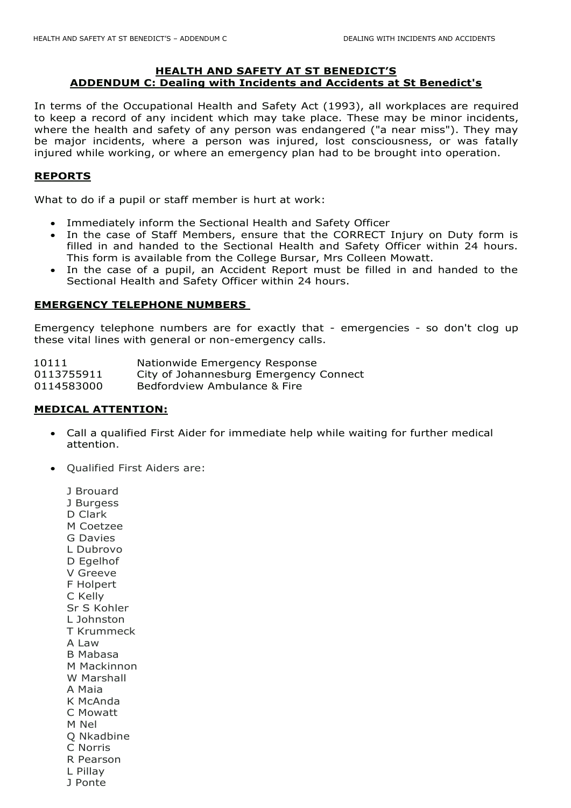## **HEALTH AND SAFETY AT ST BENEDICT'S ADDENDUM C: Dealing with Incidents and Accidents at St Benedict's**

In terms of the Occupational Health and Safety Act (1993), all workplaces are required to keep a record of any incident which may take place. These may be minor incidents, where the health and safety of any person was endangered ("a near miss"). They may be major incidents, where a person was injured, lost consciousness, or was fatally injured while working, or where an emergency plan had to be brought into operation.

## **REPORTS**

What to do if a pupil or staff member is hurt at work:

- Immediately inform the Sectional Health and Safety Officer
- In the case of Staff Members, ensure that the CORRECT Injury on Duty form is filled in and handed to the Sectional Health and Safety Officer within 24 hours. This form is available from the College Bursar, Mrs Colleen Mowatt.
- In the case of a pupil, an Accident Report must be filled in and handed to the Sectional Health and Safety Officer within 24 hours.

#### **EMERGENCY TELEPHONE NUMBERS**

Emergency telephone numbers are for exactly that - emergencies - so don't clog up these vital lines with general or non-emergency calls.

| 10111      | Nationwide Emergency Response          |
|------------|----------------------------------------|
| 0113755911 | City of Johannesburg Emergency Connect |
| 0114583000 | Bedfordview Ambulance & Fire           |

### **MEDICAL ATTENTION:**

- Call a qualified First Aider for immediate help while waiting for further medical attention.
- Oualified First Aiders are:
	- J Brouard J Burgess D Clark M Coetzee G Davies L Dubrovo D Egelhof V Greeve F Holpert C Kelly Sr S Kohler L Johnston T Krummeck A Law B Mabasa M Mackinnon W Marshall A Maia K McAnda C Mowatt M Nel Q Nkadbine C Norris R Pearson L Pillay
	- J Ponte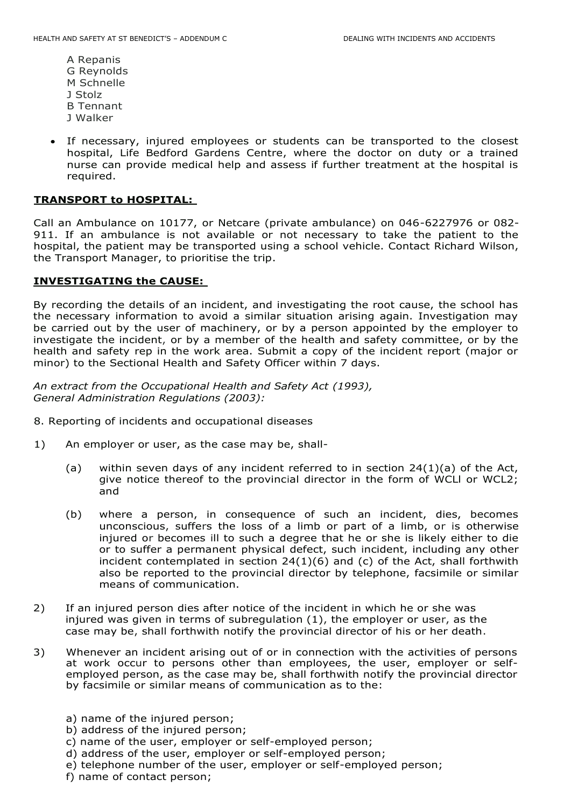- A Repanis G Reynolds M Schnelle J Stolz B Tennant J Walker
- If necessary, injured employees or students can be transported to the closest hospital, Life Bedford Gardens Centre, where the doctor on duty or a trained nurse can provide medical help and assess if further treatment at the hospital is required.

## **TRANSPORT to HOSPITAL:**

Call an Ambulance on 10177, or Netcare (private ambulance) on 046-6227976 or 082- 911. If an ambulance is not available or not necessary to take the patient to the hospital, the patient may be transported using a school vehicle. Contact Richard Wilson, the Transport Manager, to prioritise the trip.

# **INVESTIGATING the CAUSE:**

By recording the details of an incident, and investigating the root cause, the school has the necessary information to avoid a similar situation arising again. Investigation may be carried out by the user of machinery, or by a person appointed by the employer to investigate the incident, or by a member of the health and safety committee, or by the health and safety rep in the work area. Submit a copy of the incident report (major or minor) to the Sectional Health and Safety Officer within 7 days.

*An extract from the Occupational Health and Safety Act (1993), General Administration Regulations (2003):* 

- 8. Reporting of incidents and occupational diseases
- 1) An employer or user, as the case may be, shall-
	- (a) within seven days of any incident referred to in section  $24(1)(a)$  of the Act, give notice thereof to the provincial director in the form of WCLl or WCL2; and
	- (b) where a person, in consequence of such an incident, dies, becomes unconscious, suffers the loss of a limb or part of a limb, or is otherwise injured or becomes ill to such a degree that he or she is likely either to die or to suffer a permanent physical defect, such incident, including any other incident contemplated in section 24(1)(6) and (c) of the Act, shall forthwith also be reported to the provincial director by telephone, facsimile or similar means of communication.
- 2) If an injured person dies after notice of the incident in which he or she was injured was given in terms of subregulation (1), the employer or user, as the case may be, shall forthwith notify the provincial director of his or her death.
- 3) Whenever an incident arising out of or in connection with the activities of persons at work occur to persons other than employees, the user, employer or selfemployed person, as the case may be, shall forthwith notify the provincial director by facsimile or similar means of communication as to the:
	- a) name of the injured person;
	- b) address of the injured person;
	- c) name of the user, employer or self-employed person;
	- d) address of the user, employer or self-employed person;
	- e) telephone number of the user, employer or self-employed person;
	- f) name of contact person;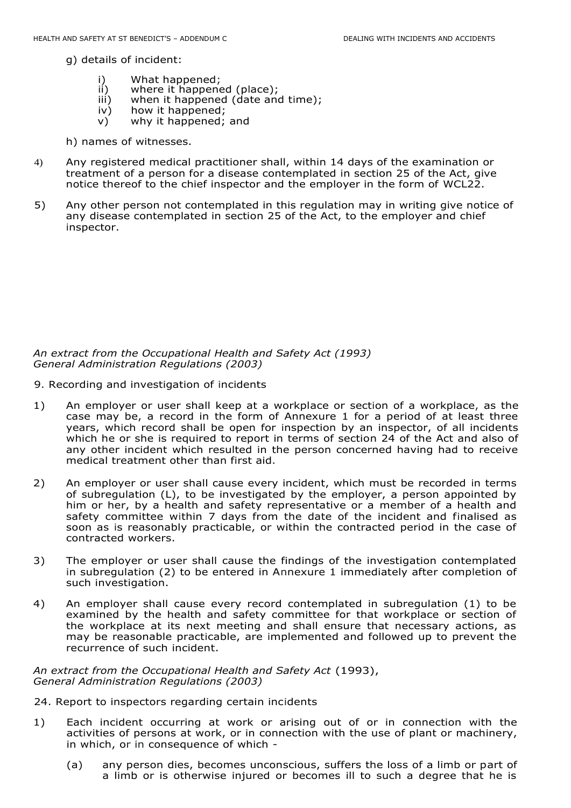g) details of incident:

- i) What happened;<br>ii) where it happene
- ii) where it happened (place);<br>iii) when it happened (date and
- iii) when it happened (date and time);<br>iv) how it happened;
- iv) how it happened;<br>v) why it happened;
- why it happened; and
- h) names of witnesses.
- 4) Any registered medical practitioner shall, within 14 days of the examination or treatment of a person for a disease contemplated in section 25 of the Act, give notice thereof to the chief inspector and the employer in the form of WCL22.
- 5) Any other person not contemplated in this regulation may in writing give notice of any disease contemplated in section 25 of the Act, to the employer and chief inspector.

*An extract from the Occupational Health and Safety Act (1993) General Administration Regulations (2003)* 

- 9. Recording and investigation of incidents
- 1) An employer or user shall keep at a workplace or section of a workplace, as the case may be, a record in the form of Annexure 1 for a period of at least three years, which record shall be open for inspection by an inspector, of all incidents which he or she is required to report in terms of section 24 of the Act and also of any other incident which resulted in the person concerned having had to receive medical treatment other than first aid.
- 2) An employer or user shall cause every incident, which must be recorded in terms of subregulation (L), to be investigated by the employer, a person appointed by him or her, by a health and safety representative or a member of a health and safety committee within 7 days from the date of the incident and finalised as soon as is reasonably practicable, or within the contracted period in the case of contracted workers.
- 3) The employer or user shall cause the findings of the investigation contemplated in subregulation (2) to be entered in Annexure 1 immediately after completion of such investigation.
- 4) An employer shall cause every record contemplated in subregulation (1) to be examined by the health and safety committee for that workplace or section of the workplace at its next meeting and shall ensure that necessary actions, as may be reasonable practicable, are implemented and followed up to prevent the recurrence of such incident.

*An extract from the Occupational Health and Safety Act* (1993), *General Administration Regulations (2003)* 

- 24. Report to inspectors regarding certain incidents
- 1) Each incident occurring at work or arising out of or in connection with the activities of persons at work, or in connection with the use of plant or machinery, in which, or in consequence of which -
	- (a) any person dies, becomes unconscious, suffers the loss of a limb or part of a limb or is otherwise injured or becomes ill to such a degree that he is